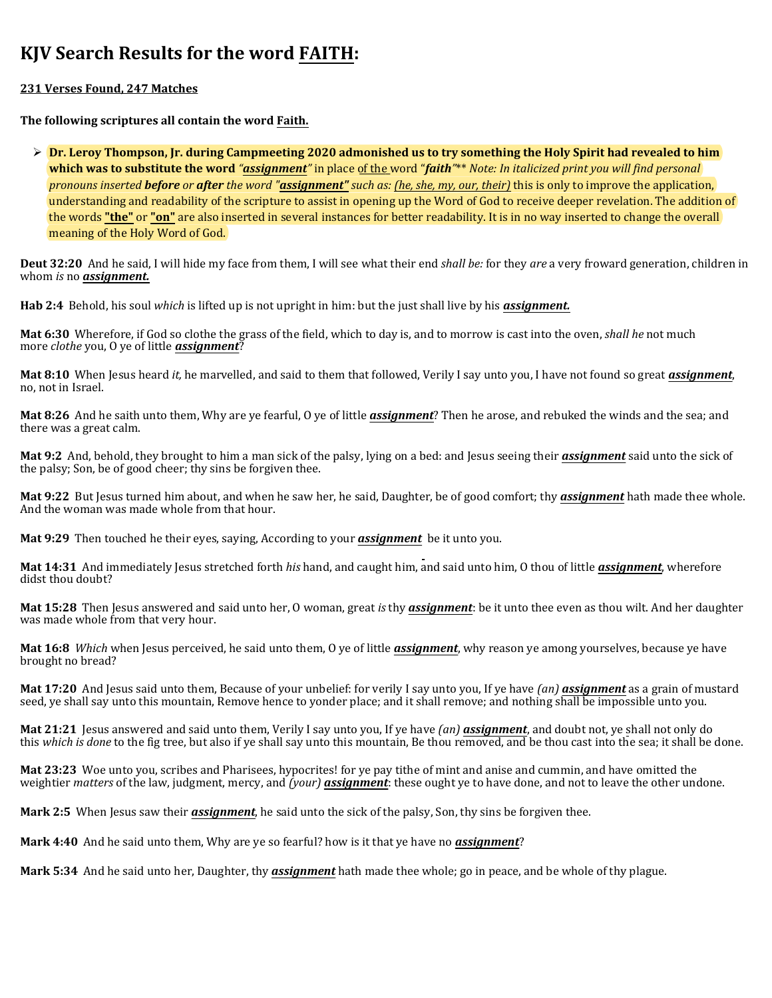## **KJV Search Results for the word FAITH:**

## **231 Verses Found, 247 Matches**

**The following scriptures all contain the word Faith.**

Ø **Dr. Leroy Thompson, Jr. during Campmeeting 2020 admonished us to try something the Holy Spirit had revealed to him which was to substitute the word** *"assignment"* in place of the word "*faith"*\*\* *Note: In italicized print you will find personal pronouns inserted before or after the word "assignment" such as: (he, she, my, our, their)* this is only to improve the application, understanding and readability of the scripture to assist in opening up the Word of God to receive deeper revelation. The addition of the words **"the"** or **"on"** are also inserted in several instances for better readability. It is in no way inserted to change the overall meaning of the Holy Word of God.

**Deut 32:20** And he said, I will hide my face from them, I will see what their end *shall be:* for they *are* a very froward generation, children in whom *is* no *assignment.*

**Hab 2:4** Behold, his soul *which* is lifted up is not upright in him: but the just shall live by his *assignment.*

**Mat 6:30** Wherefore, if God so clothe the grass of the field, which to day is, and to morrow is cast into the oven, *shall he* not much more *clothe* you, O ye of little *assignment*?

**Mat 8:10** When Jesus heard *it,* he marvelled, and said to them that followed, Verily I say unto you, I have not found so great *assignment*, no, not in Israel.

**Mat 8:26** And he saith unto them, Why are ye fearful, O ye of little *assignment*? Then he arose, and rebuked the winds and the sea; and there was a great calm.

**Mat 9:2** And, behold, they brought to him a man sick of the palsy, lying on a bed: and Jesus seeing their *assignment* said unto the sick of the palsy; Son, be of good cheer; thy sins be forgiven thee.

**Mat 9:22** But Jesus turned him about, and when he saw her, he said, Daughter, be of good comfort; thy *assignment* hath made thee whole. And the woman was made whole from that hour.

**Mat 9:29** Then touched he their eyes, saying, According to your *assignment* be it unto you.

**Mat 14:31** And immediately Jesus stretched forth *his* hand, and caught him, and said unto him, O thou of little *assignment*, wherefore didst thou doubt?

**Mat 15:28** Then Jesus answered and said unto her, O woman, great *is* thy *assignment*: be it unto thee even as thou wilt. And her daughter was made whole from that very hour.

**Mat 16:8** *Which* when Jesus perceived, he said unto them, O ye of little *assignment*, why reason ye among yourselves, because ye have brought no bread?

**Mat 17:20** And Jesus said unto them, Because of your unbelief: for verily I say unto you, If ye have *(an) assignment* as a grain of mustard seed, ye shall say unto this mountain, Remove hence to yonder place; and it shall remove; and nothing shall be impossible unto you.

**Mat 21:21** Jesus answered and said unto them, Verily I say unto you, If ye have *(an) assignment*, and doubt not, ye shall not only do this *which is done* to the fig tree, but also if ye shall say unto this mountain, Be thou removed, and be thou cast into the sea; it shall be done.

**Mat 23:23** Woe unto you, scribes and Pharisees, hypocrites! for ye pay tithe of mint and anise and cummin, and have omitted the weightier *matters* of the law, judgment, mercy, and *(your) assignment*: these ought ye to have done, and not to leave the other undone.

**Mark 2:5** When Jesus saw their *assignment*, he said unto the sick of the palsy, Son, thy sins be forgiven thee.

**Mark 4:40** And he said unto them, Why are ye so fearful? how is it that ye have no *assignment*?

**Mark 5:34** And he said unto her, Daughter, thy *assignment* hath made thee whole; go in peace, and be whole of thy plague.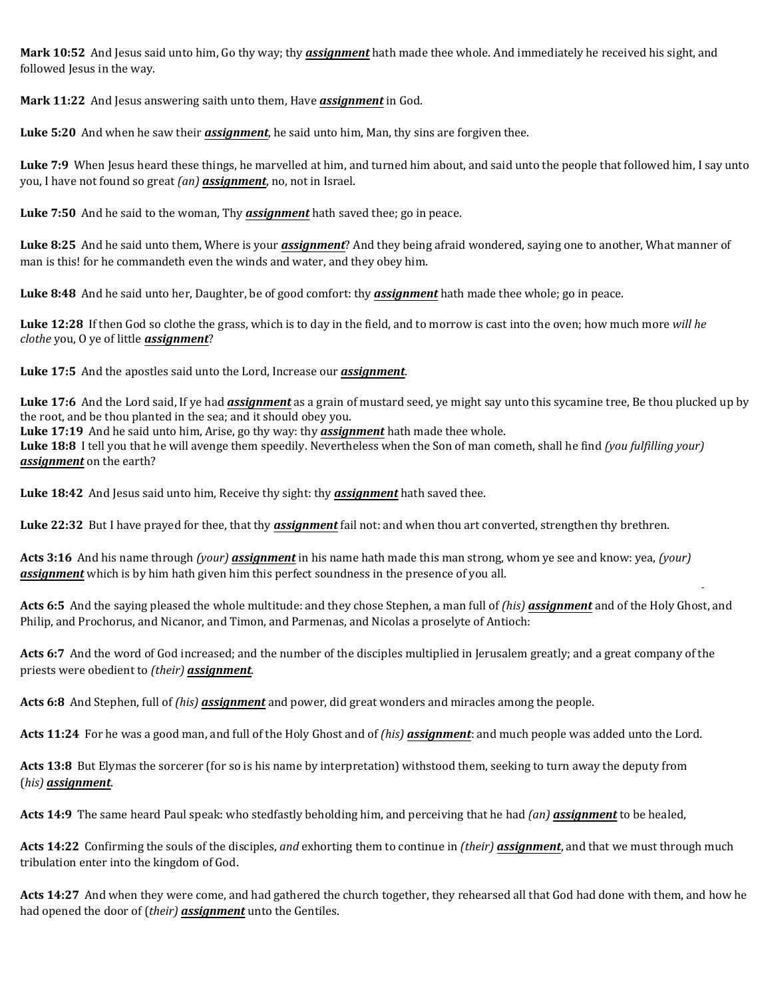**Mark 10:52** And Jesus said unto him, Go thy way; thy *assignment* hath made thee whole. And immediately he received his sight, and followed Jesus in the way.

**Mark 11:22** And Jesus answering saith unto them, Have *assignment* in God.

**Luke 5:20** And when he saw their *assignment*, he said unto him, Man, thy sins are forgiven thee.

**Luke 7:9** When Jesus heard these things, he marvelled at him, and turned him about, and said unto the people that followed him, I say unto you, I have not found so great *(an) assignment*, no, not in Israel.

**Luke 7:50** And he said to the woman, Thy *assignment* hath saved thee; go in peace.

**Luke 8:25** And he said unto them, Where is your *assignment*? And they being afraid wondered, saying one to another, What manner of man is this! for he commandeth even the winds and water, and they obey him.

**Luke 8:48** And he said unto her, Daughter, be of good comfort: thy *assignment* hath made thee whole; go in peace.

**Luke 12:28** If then God so clothe the grass, which is to day in the field, and to morrow is cast into the oven; how much more *will he clothe* you, O ye of little *assignment*?

**Luke 17:5** And the apostles said unto the Lord, Increase our *assignment*.

**Luke 17:6** And the Lord said, If ye had *assignment* as a grain of mustard seed, ye might say unto this sycamine tree, Be thou plucked up by the root, and be thou planted in the sea; and it should obey you.

**Luke 17:19** And he said unto him, Arise, go thy way: thy *assignment* hath made thee whole.

**Luke 18:8** I tell you that he will avenge them speedily. Nevertheless when the Son of man cometh, shall he find *(you fulfilling your) assignment* on the earth?

**Luke 18:42** And Jesus said unto him, Receive thy sight: thy *assignment* hath saved thee.

**Luke 22:32** But I have prayed for thee, that thy *assignment* fail not: and when thou art converted, strengthen thy brethren.

**Acts 3:16** And his name through *(your) assignment* in his name hath made this man strong, whom ye see and know: yea, *(your) assignment* which is by him hath given him this perfect soundness in the presence of you all.

**Acts 6:5** And the saying pleased the whole multitude: and they chose Stephen, a man full of *(his) assignment* and of the Holy Ghost, and Philip, and Prochorus, and Nicanor, and Timon, and Parmenas, and Nicolas a proselyte of Antioch:

**Acts 6:7** And the word of God increased; and the number of the disciples multiplied in Jerusalem greatly; and a great company of the priests were obedient to *(their) assignment*.

**Acts 6:8** And Stephen, full of *(his) assignment* and power, did great wonders and miracles among the people.

**Acts 11:24** For he was a good man, and full of the Holy Ghost and of *(his) assignment*: and much people was added unto the Lord.

**Acts 13:8** But Elymas the sorcerer (for so is his name by interpretation) withstood them, seeking to turn away the deputy from (*his) assignment*.

**Acts 14:9** The same heard Paul speak: who stedfastly beholding him, and perceiving that he had *(an) assignment* to be healed,

**Acts 14:22** Confirming the souls of the disciples, *and* exhorting them to continue in *(their) assignment*, and that we must through much tribulation enter into the kingdom of God.

**Acts 14:27** And when they were come, and had gathered the church together, they rehearsed all that God had done with them, and how he had opened the door of (*their) assignment* unto the Gentiles.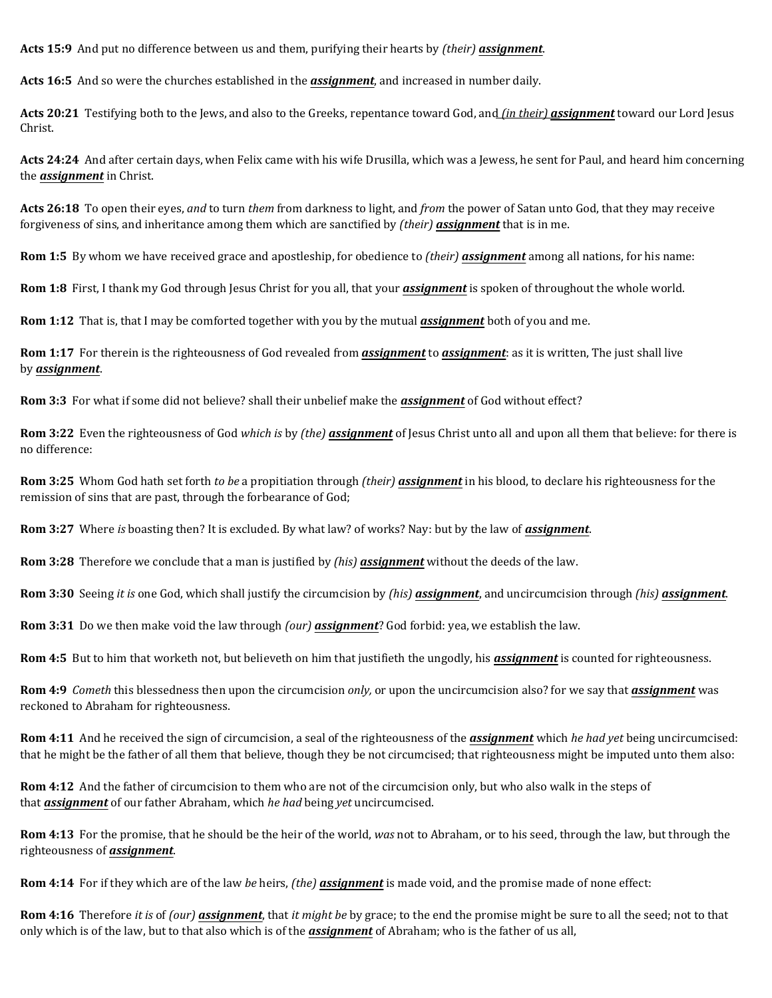**Acts 15:9** And put no difference between us and them, purifying their hearts by *(their) assignment*.

**Acts 16:5** And so were the churches established in the *assignment*, and increased in number daily.

**Acts 20:21** Testifying both to the Jews, and also to the Greeks, repentance toward God, and *(in their) assignment* toward our Lord Jesus Christ.

**Acts 24:24** And after certain days, when Felix came with his wife Drusilla, which was a Jewess, he sent for Paul, and heard him concerning the *assignment* in Christ.

**Acts 26:18** To open their eyes, *and* to turn *them* from darkness to light, and *from* the power of Satan unto God, that they may receive forgiveness of sins, and inheritance among them which are sanctified by *(their) assignment* that is in me.

**Rom 1:5** By whom we have received grace and apostleship, for obedience to *(their) assignment* among all nations, for his name:

**Rom 1:8** First, I thank my God through Jesus Christ for you all, that your *assignment* is spoken of throughout the whole world.

**Rom 1:12** That is, that I may be comforted together with you by the mutual *assignment* both of you and me.

**Rom 1:17** For therein is the righteousness of God revealed from *assignment* to *assignment*: as it is written, The just shall live by *assignment*.

**Rom 3:3** For what if some did not believe? shall their unbelief make the *assignment* of God without effect?

**Rom 3:22** Even the righteousness of God *which is* by *(the) assignment* of Jesus Christ unto all and upon all them that believe: for there is no difference:

**Rom 3:25** Whom God hath set forth *to be* a propitiation through *(their) assignment* in his blood, to declare his righteousness for the remission of sins that are past, through the forbearance of God;

**Rom 3:27** Where *is* boasting then? It is excluded. By what law? of works? Nay: but by the law of *assignment*.

**Rom 3:28** Therefore we conclude that a man is justified by *(his) assignment* without the deeds of the law.

**Rom 3:30** Seeing *it is* one God, which shall justify the circumcision by *(his) assignment*, and uncircumcision through *(his) assignment*.

**Rom 3:31** Do we then make void the law through *(our) assignment*? God forbid: yea, we establish the law.

**Rom 4:5** But to him that worketh not, but believeth on him that justifieth the ungodly, his *assignment* is counted for righteousness.

**Rom 4:9** *Cometh* this blessedness then upon the circumcision *only,* or upon the uncircumcision also? for we say that *assignment* was reckoned to Abraham for righteousness.

**Rom 4:11** And he received the sign of circumcision, a seal of the righteousness of the *assignment* which *he had yet* being uncircumcised: that he might be the father of all them that believe, though they be not circumcised; that righteousness might be imputed unto them also:

**Rom 4:12** And the father of circumcision to them who are not of the circumcision only, but who also walk in the steps of that *assignment* of our father Abraham, which *he had* being *yet* uncircumcised.

**Rom 4:13** For the promise, that he should be the heir of the world, *was* not to Abraham, or to his seed, through the law, but through the righteousness of *assignment*.

**Rom 4:14** For if they which are of the law *be* heirs, *(the) assignment* is made void, and the promise made of none effect:

**Rom 4:16** Therefore *it is* of *(our) assignment*, that *it might be* by grace; to the end the promise might be sure to all the seed; not to that only which is of the law, but to that also which is of the *assignment* of Abraham; who is the father of us all,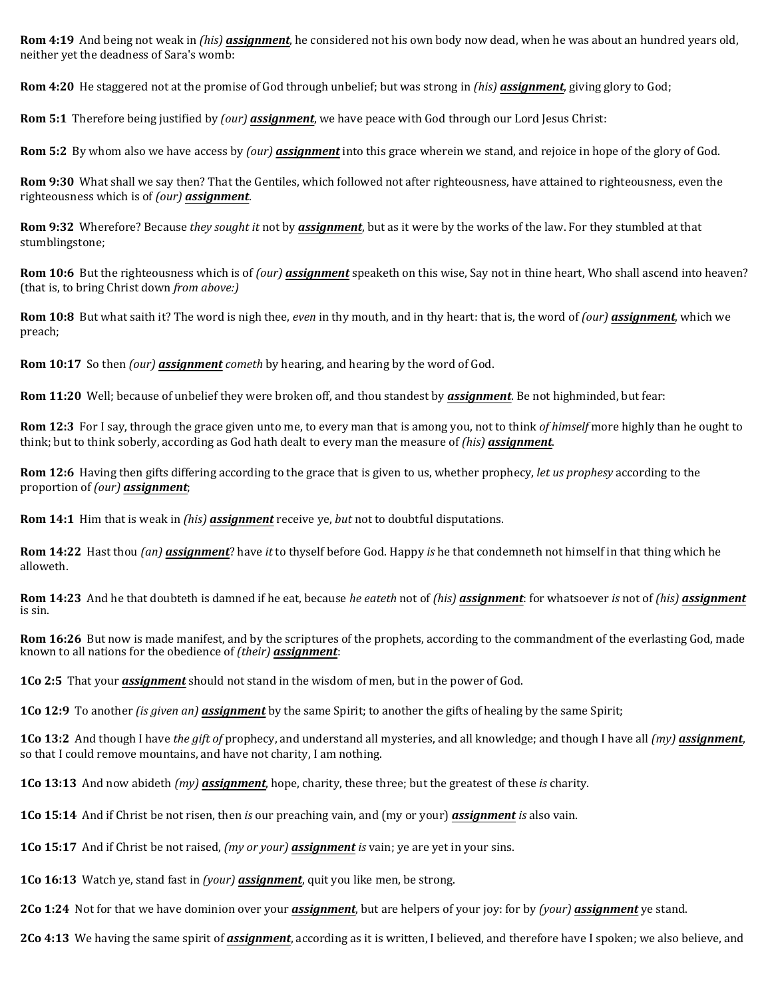**Rom 4:19** And being not weak in *(his) assignment*, he considered not his own body now dead, when he was about an hundred years old, neither yet the deadness of Sara's womb:

**Rom 4:20** He staggered not at the promise of God through unbelief; but was strong in *(his) assignment*, giving glory to God;

**Rom 5:1** Therefore being justified by *(our) assignment*, we have peace with God through our Lord Jesus Christ:

**Rom 5:2** By whom also we have access by *(our) assignment* into this grace wherein we stand, and rejoice in hope of the glory of God.

**Rom 9:30** What shall we say then? That the Gentiles, which followed not after righteousness, have attained to righteousness, even the righteousness which is of *(our) assignment*.

**Rom 9:32** Wherefore? Because *they sought it* not by *assignment*, but as it were by the works of the law. For they stumbled at that stumblingstone;

**Rom 10:6** But the righteousness which is of *(our) assignment* speaketh on this wise, Say not in thine heart, Who shall ascend into heaven? (that is, to bring Christ down *from above:)*

**Rom 10:8** But what saith it? The word is nigh thee, *even* in thy mouth, and in thy heart: that is, the word of *(our) assignment*, which we preach;

**Rom 10:17** So then *(our) assignment cometh* by hearing, and hearing by the word of God.

**Rom 11:20** Well; because of unbelief they were broken off, and thou standest by *assignment*. Be not highminded, but fear:

**Rom 12:3** For I say, through the grace given unto me, to every man that is among you, not to think *of himself* more highly than he ought to think; but to think soberly, according as God hath dealt to every man the measure of *(his) assignment*.

**Rom 12:6** Having then gifts differing according to the grace that is given to us, whether prophecy, *let us prophesy* according to the proportion of *(our) assignment*;

**Rom 14:1** Him that is weak in *(his) assignment* receive ye, *but* not to doubtful disputations.

**Rom 14:22** Hast thou *(an) assignment*? have *it* to thyself before God. Happy *is* he that condemneth not himself in that thing which he alloweth.

**Rom 14:23** And he that doubteth is damned if he eat, because *he eateth* not of *(his) assignment*: for whatsoever *is* not of *(his) assignment* is sin.

**Rom 16:26** But now is made manifest, and by the scriptures of the prophets, according to the commandment of the everlasting God, made known to all nations for the obedience of *(their) assignment*:

**1Co 2:5** That your *assignment* should not stand in the wisdom of men, but in the power of God.

**1Co 12:9** To another *(is given an) assignment* by the same Spirit; to another the gifts of healing by the same Spirit;

**1Co 13:2** And though I have *the gift of* prophecy, and understand all mysteries, and all knowledge; and though I have all *(my) assignment*, so that I could remove mountains, and have not charity, I am nothing.

**1Co 13:13** And now abideth *(my) assignment*, hope, charity, these three; but the greatest of these *is* charity.

**1Co 15:14** And if Christ be not risen, then *is* our preaching vain, and (my or your) *assignment is* also vain.

**1Co 15:17** And if Christ be not raised, *(my or your) assignment is* vain; ye are yet in your sins.

**1Co 16:13** Watch ye, stand fast in *(your) assignment*, quit you like men, be strong.

**2Co 1:24** Not for that we have dominion over your *assignment*, but are helpers of your joy: for by *(your) assignment* ye stand.

**2Co 4:13** We having the same spirit of *assignment*, according as it is written, I believed, and therefore have I spoken; we also believe, and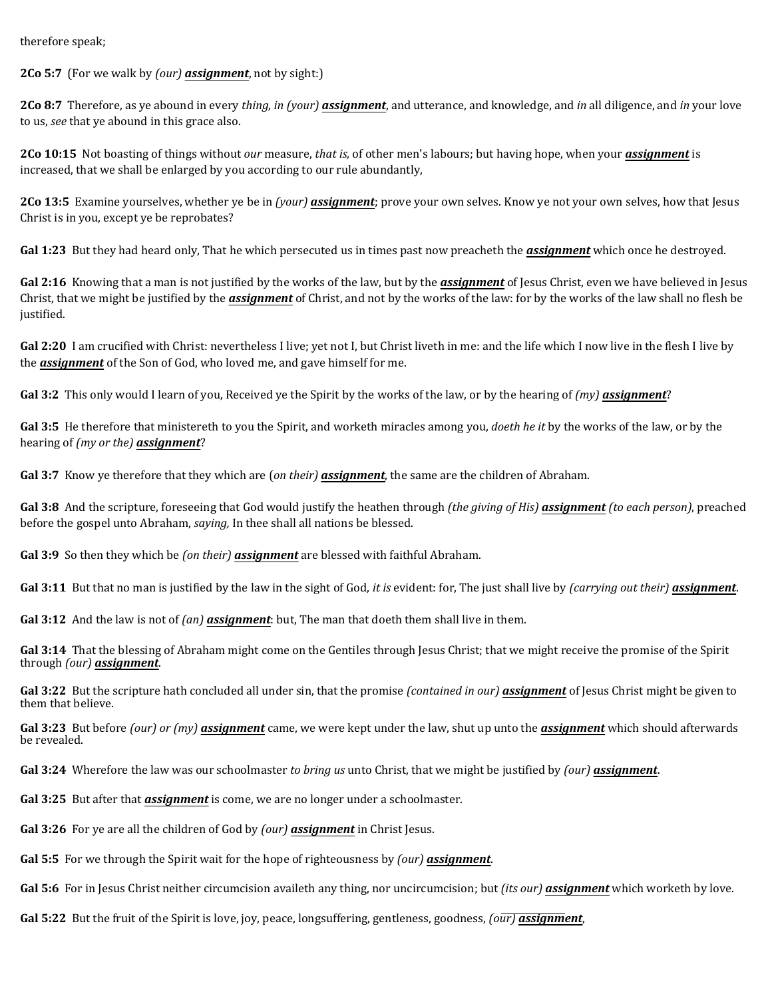therefore speak;

**2Co 5:7** (For we walk by *(our) assignment*, not by sight:)

**2Co 8:7** Therefore, as ye abound in every *thing, in (your) assignment*, and utterance, and knowledge, and *in* all diligence, and *in* your love to us, *see* that ye abound in this grace also.

**2Co 10:15** Not boasting of things without *our* measure, *that is,* of other men's labours; but having hope, when your *assignment* is increased, that we shall be enlarged by you according to our rule abundantly,

**2Co 13:5** Examine yourselves, whether ye be in *(your) assignment*; prove your own selves. Know ye not your own selves, how that Jesus Christ is in you, except ye be reprobates?

**Gal 1:23** But they had heard only, That he which persecuted us in times past now preacheth the *assignment* which once he destroyed.

**Gal 2:16** Knowing that a man is not justified by the works of the law, but by the *assignment* of Jesus Christ, even we have believed in Jesus Christ, that we might be justified by the *assignment* of Christ, and not by the works of the law: for by the works of the law shall no flesh be justified.

Gal 2:20 I am crucified with Christ: nevertheless I live; yet not I, but Christ liveth in me: and the life which I now live in the flesh I live by the *assignment* of the Son of God, who loved me, and gave himself for me.

**Gal 3:2** This only would I learn of you, Received ye the Spirit by the works of the law, or by the hearing of *(my) assignment*?

**Gal 3:5** He therefore that ministereth to you the Spirit, and worketh miracles among you, *doeth he it* by the works of the law, or by the hearing of *(my or the) assignment*?

**Gal 3:7** Know ye therefore that they which are (*on their) assignment*, the same are the children of Abraham.

**Gal 3:8** And the scripture, foreseeing that God would justify the heathen through *(the giving of His) assignment (to each person)*, preached before the gospel unto Abraham, *saying,* In thee shall all nations be blessed.

**Gal 3:9** So then they which be *(on their) assignment* are blessed with faithful Abraham.

**Gal 3:11** But that no man is justified by the law in the sight of God, *it is* evident: for, The just shall live by *(carrying out their) assignment*.

**Gal 3:12** And the law is not of *(an) assignment*: but, The man that doeth them shall live in them.

**Gal 3:14** That the blessing of Abraham might come on the Gentiles through Jesus Christ; that we might receive the promise of the Spirit through *(our) assignment*.

**Gal 3:22** But the scripture hath concluded all under sin, that the promise *(contained in our) assignment* of Jesus Christ might be given to them that believe.

**Gal 3:23** But before *(our) or (my) assignment* came, we were kept under the law, shut up unto the *assignment* which should afterwards be revealed.

**Gal 3:24** Wherefore the law was our schoolmaster *to bring us* unto Christ, that we might be justified by *(our) assignment*.

**Gal 3:25** But after that *assignment* is come, we are no longer under a schoolmaster.

**Gal 3:26** For ye are all the children of God by *(our) assignment* in Christ Jesus.

**Gal 5:5** For we through the Spirit wait for the hope of righteousness by *(our) assignment*.

**Gal 5:6** For in Jesus Christ neither circumcision availeth any thing, nor uncircumcision; but *(its our) assignment* which worketh by love.

**Gal 5:22** But the fruit of the Spirit is love, joy, peace, longsuffering, gentleness, goodness, *(our) assignment*,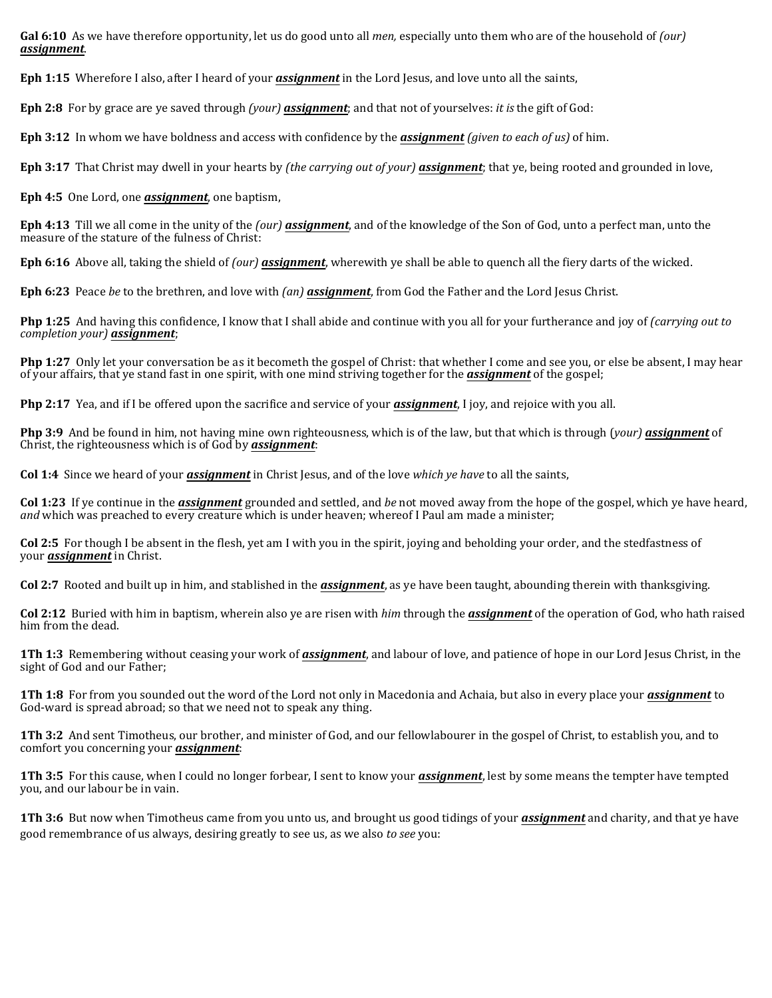**Gal 6:10** As we have therefore opportunity, let us do good unto all *men,* especially unto them who are of the household of *(our) assignment*.

**Eph 1:15** Wherefore I also, after I heard of your *assignment* in the Lord Jesus, and love unto all the saints,

**Eph 2:8** For by grace are ye saved through *(your) assignment*; and that not of yourselves: *it is* the gift of God:

**Eph 3:12** In whom we have boldness and access with confidence by the *assignment (given to each of us)* of him.

**Eph 3:17** That Christ may dwell in your hearts by *(the carrying out of your) assignment*; that ye, being rooted and grounded in love,

**Eph 4:5** One Lord, one *assignment*, one baptism,

**Eph 4:13** Till we all come in the unity of the *(our) assignment*, and of the knowledge of the Son of God, unto a perfect man, unto the measure of the stature of the fulness of Christ:

**Eph 6:16** Above all, taking the shield of *(our) assignment*, wherewith ye shall be able to quench all the fiery darts of the wicked.

**Eph 6:23** Peace *be* to the brethren, and love with *(an) assignment*, from God the Father and the Lord Jesus Christ.

**Php 1:25** And having this confidence, I know that I shall abide and continue with you all for your furtherance and joy of *(carrying out to completion your) assignment*;

**Php 1:27** Only let your conversation be as it becometh the gospel of Christ: that whether I come and see you, or else be absent, I may hear of your affairs, that ye stand fast in one spirit, with one mind striving together for the *assignment* of the gospel;

**Php 2:17** Yea, and if I be offered upon the sacrifice and service of your *assignment*, I joy, and rejoice with you all.

**Php 3:9** And be found in him, not having mine own righteousness, which is of the law, but that which is through (*your) assignment* of Christ, the righteousness which is of God by *assignment*:

**Col 1:4** Since we heard of your *assignment* in Christ Jesus, and of the love *which ye have* to all the saints,

**Col 1:23** If ye continue in the *assignment* grounded and settled, and *be* not moved away from the hope of the gospel, which ye have heard, *and* which was preached to every creature which is under heaven; whereof I Paul am made a minister;

**Col 2:5** For though I be absent in the flesh, yet am I with you in the spirit, joying and beholding your order, and the stedfastness of your *assignment* in Christ.

**Col 2:7** Rooted and built up in him, and stablished in the *assignment*, as ye have been taught, abounding therein with thanksgiving.

**Col 2:12** Buried with him in baptism, wherein also ye are risen with *him* through the *assignment* of the operation of God, who hath raised him from the dead.

**1Th 1:3** Remembering without ceasing your work of *assignment*, and labour of love, and patience of hope in our Lord Jesus Christ, in the sight of God and our Father;

**1Th 1:8** For from you sounded out the word of the Lord not only in Macedonia and Achaia, but also in every place your *assignment* to God-ward is spread abroad; so that we need not to speak any thing.

**1Th 3:2** And sent Timotheus, our brother, and minister of God, and our fellowlabourer in the gospel of Christ, to establish you, and to comfort you concerning your *assignment*:

**1Th 3:5** For this cause, when I could no longer forbear, I sent to know your *assignment*, lest by some means the tempter have tempted you, and our labour be in vain.

**1Th 3:6** But now when Timotheus came from you unto us, and brought us good tidings of your *assignment* and charity, and that ye have good remembrance of us always, desiring greatly to see us, as we also *to see* you: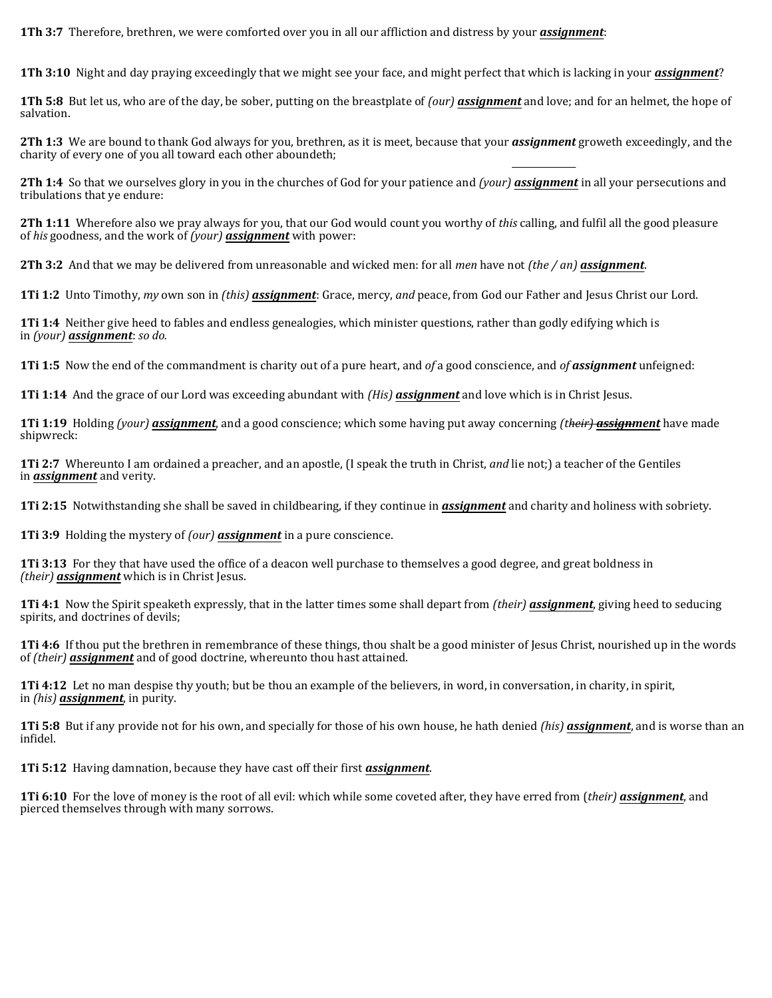**1Th 3:7** Therefore, brethren, we were comforted over you in all our affliction and distress by your *assignment*:

**1Th 3:10** Night and day praying exceedingly that we might see your face, and might perfect that which is lacking in your *assignment*?

**1Th 5:8** But let us, who are of the day, be sober, putting on the breastplate of *(our) assignment* and love; and for an helmet, the hope of salvation.

**2Th 1:3** We are bound to thank God always for you, brethren, as it is meet, because that your *assignment* groweth exceedingly, and the charity of every one of you all toward each other aboundeth;

**2Th 1:4** So that we ourselves glory in you in the churches of God for your patience and *(your) assignment* in all your persecutions and tribulations that ye endure:

**2Th 1:11** Wherefore also we pray always for you, that our God would count you worthy of *this* calling, and fulfil all the good pleasure of *his* goodness, and the work of *(your) assignment* with power:

**2Th 3:2** And that we may be delivered from unreasonable and wicked men: for all *men* have not *(the / an) assignment*.

**1Ti 1:2** Unto Timothy, *my* own son in *(this) assignment*: Grace, mercy, *and* peace, from God our Father and Jesus Christ our Lord.

**1Ti 1:4** Neither give heed to fables and endless genealogies, which minister questions, rather than godly edifying which is in *(your) assignment*: *so do.*

**1Ti 1:5** Now the end of the commandment is charity out of a pure heart, and *of* a good conscience, and *of assignment* unfeigned:

**1Ti 1:14** And the grace of our Lord was exceeding abundant with *(His) assignment* and love which is in Christ Jesus.

**1Ti 1:19** Holding *(your) assignment*, and a good conscience; which some having put away concerning *(their) assignment* have made shipwreck:

**1Ti 2:7** Whereunto I am ordained a preacher, and an apostle, (I speak the truth in Christ, *and* lie not;) a teacher of the Gentiles in *assignment* and verity.

**1Ti 2:15** Notwithstanding she shall be saved in childbearing, if they continue in *assignment* and charity and holiness with sobriety.

**1Ti 3:9** Holding the mystery of *(our) assignment* in a pure conscience.

**1Ti 3:13** For they that have used the office of a deacon well purchase to themselves a good degree, and great boldness in *(their) assignment* which is in Christ Jesus.

**1Ti 4:1** Now the Spirit speaketh expressly, that in the latter times some shall depart from *(their) assignment*, giving heed to seducing spirits, and doctrines of devils;

**1Ti 4:6** If thou put the brethren in remembrance of these things, thou shalt be a good minister of Jesus Christ, nourished up in the words of *(their) assignment* and of good doctrine, whereunto thou hast attained.

**1Ti 4:12** Let no man despise thy youth; but be thou an example of the believers, in word, in conversation, in charity, in spirit, in *(his) assignment*, in purity.

**1Ti 5:8** But if any provide not for his own, and specially for those of his own house, he hath denied *(his) assignment*, and is worse than an infidel.

**1Ti 5:12** Having damnation, because they have cast off their first *assignment*.

**1Ti 6:10** For the love of money is the root of all evil: which while some coveted after, they have erred from (*their) assignment*, and pierced themselves through with many sorrows.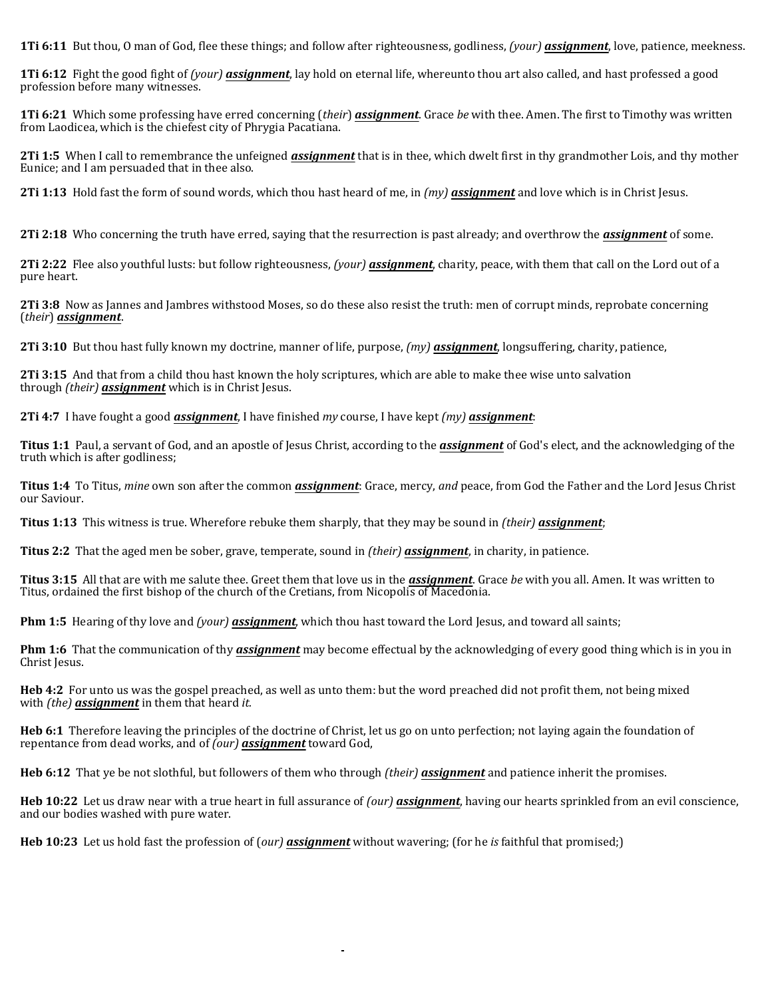**1Ti 6:11** But thou, O man of God, flee these things; and follow after righteousness, godliness, *(your) assignment*, love, patience, meekness.

**1Ti 6:12** Fight the good fight of *(your) assignment*, lay hold on eternal life, whereunto thou art also called, and hast professed a good profession before many witnesses.

**1Ti 6:21** Which some professing have erred concerning (*their*) *assignment*. Grace *be* with thee. Amen. The first to Timothy was written from Laodicea, which is the chiefest city of Phrygia Pacatiana.

**2Ti 1:5** When I call to remembrance the unfeigned *assignment* that is in thee, which dwelt first in thy grandmother Lois, and thy mother Eunice; and I am persuaded that in thee also.

**2Ti 1:13** Hold fast the form of sound words, which thou hast heard of me, in *(my) assignment* and love which is in Christ Jesus.

**2Ti 2:18** Who concerning the truth have erred, saying that the resurrection is past already; and overthrow the *assignment* of some.

**2Ti 2:22** Flee also youthful lusts: but follow righteousness, *(your) assignment*, charity, peace, with them that call on the Lord out of a pure heart.

**2Ti 3:8** Now as Jannes and Jambres withstood Moses, so do these also resist the truth: men of corrupt minds, reprobate concerning (*their*) *assignment*.

**2Ti 3:10** But thou hast fully known my doctrine, manner of life, purpose, *(my) assignment*, longsuffering, charity, patience,

**2Ti 3:15** And that from a child thou hast known the holy scriptures, which are able to make thee wise unto salvation through *(their) assignment* which is in Christ Jesus.

**2Ti 4:7** I have fought a good *assignment*, I have finished *my* course, I have kept *(my) assignment*:

**Titus 1:1** Paul, a servant of God, and an apostle of Jesus Christ, according to the *assignment* of God's elect, and the acknowledging of the truth which is after godliness;

**Titus 1:4** To Titus, *mine* own son after the common *assignment*: Grace, mercy, *and* peace, from God the Father and the Lord Jesus Christ our Saviour.

**Titus 1:13** This witness is true. Wherefore rebuke them sharply, that they may be sound in *(their) assignment*;

**Titus 2:2** That the aged men be sober, grave, temperate, sound in *(their) assignment*, in charity, in patience.

**Titus 3:15** All that are with me salute thee. Greet them that love us in the *assignment*. Grace *be* with you all. Amen. It was written to Titus, ordained the first bishop of the church of the Cretians, from Nicopolis of Macedonia.

**Phm 1:5** Hearing of thy love and *(your) assignment*, which thou hast toward the Lord Jesus, and toward all saints;

**Phm 1:6** That the communication of thy *assignment* may become effectual by the acknowledging of every good thing which is in you in Christ Jesus.

**Heb 4:2** For unto us was the gospel preached, as well as unto them: but the word preached did not profit them, not being mixed with *(the) assignment* in them that heard *it.*

**Heb 6:1** Therefore leaving the principles of the doctrine of Christ, let us go on unto perfection; not laying again the foundation of repentance from dead works, and of *(our) assignment* toward God,

**Heb 6:12** That ye be not slothful, but followers of them who through *(their) assignment* and patience inherit the promises.

**Heb 10:22** Let us draw near with a true heart in full assurance of *(our) assignment*, having our hearts sprinkled from an evil conscience, and our bodies washed with pure water.

**Heb 10:23** Let us hold fast the profession of (*our) assignment* without wavering; (for he *is* faithful that promised;)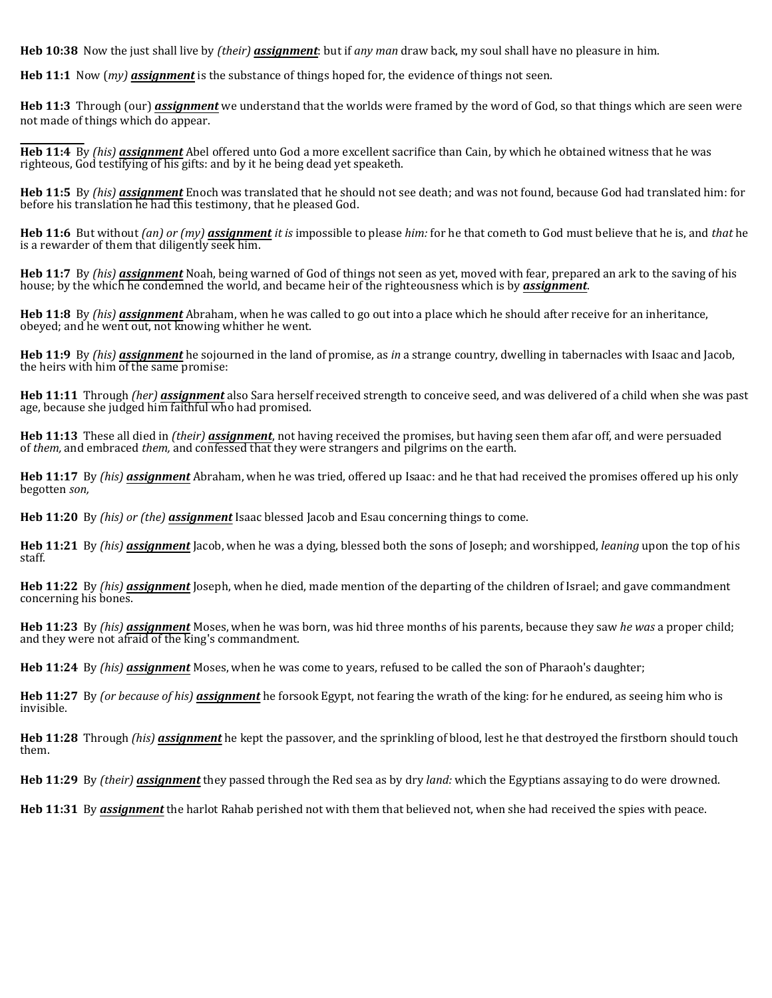**Heb 10:38** Now the just shall live by *(their) assignment*: but if *any man* draw back, my soul shall have no pleasure in him.

**Heb 11:1** Now (*my) assignment* is the substance of things hoped for, the evidence of things not seen.

**Heb 11:3** Through (our) *assignment* we understand that the worlds were framed by the word of God, so that things which are seen were not made of things which do appear.

**Heb 11:4** By *(his) assignment* Abel offered unto God a more excellent sacrifice than Cain, by which he obtained witness that he was righteous, God testifying of his gifts: and by it he being dead yet speaketh.

**Heb 11:5** By *(his) assignment* Enoch was translated that he should not see death; and was not found, because God had translated him: for before his translation he had this testimony, that he pleased God.

**Heb 11:6** But without *(an) or (my) assignment it is* impossible to please *him:* for he that cometh to God must believe that he is, and *that* he is a rewarder of them that diligently seek him.

**Heb 11:7** By *(his) assignment* Noah, being warned of God of things not seen as yet, moved with fear, prepared an ark to the saving of his house; by the which he condemned the world, and became heir of the righteousness which is by *assignment*.

**Heb 11:8** By *(his) assignment* Abraham, when he was called to go out into a place which he should after receive for an inheritance, obeyed; and he went out, not knowing whither he went.

**Heb 11:9** By *(his) assignment* he sojourned in the land of promise, as *in* a strange country, dwelling in tabernacles with Isaac and Jacob, the heirs with him of the same promise:

**Heb 11:11** Through *(her) assignment* also Sara herself received strength to conceive seed, and was delivered of a child when she was past age, because she judged him faithful who had promised.

**Heb 11:13** These all died in *(their) assignment*, not having received the promises, but having seen them afar off, and were persuaded of *them,* and embraced *them,* and confessed that they were strangers and pilgrims on the earth.

**Heb 11:17** By *(his) assignment* Abraham, when he was tried, offered up Isaac: and he that had received the promises offered up his only begotten *son,*

**Heb 11:20** By *(his) or (the) assignment* Isaac blessed Jacob and Esau concerning things to come.

**Heb 11:21** By *(his) assignment* Jacob, when he was a dying, blessed both the sons of Joseph; and worshipped, *leaning* upon the top of his staff.

**Heb 11:22** By *(his) assignment* Joseph, when he died, made mention of the departing of the children of Israel; and gave commandment concerning his bones.

**Heb 11:23** By *(his) assignment* Moses, when he was born, was hid three months of his parents, because they saw *he was* a proper child; and they were not afraid of the king's commandment.

**Heb 11:24** By *(his) assignment* Moses, when he was come to years, refused to be called the son of Pharaoh's daughter;

**Heb 11:27** By *(or because of his) assignment* he forsook Egypt, not fearing the wrath of the king: for he endured, as seeing him who is invisible.

**Heb 11:28** Through *(his) assignment* he kept the passover, and the sprinkling of blood, lest he that destroyed the firstborn should touch them.

**Heb 11:29** By *(their) assignment* they passed through the Red sea as by dry *land:* which the Egyptians assaying to do were drowned.

**Heb 11:31** By *assignment* the harlot Rahab perished not with them that believed not, when she had received the spies with peace.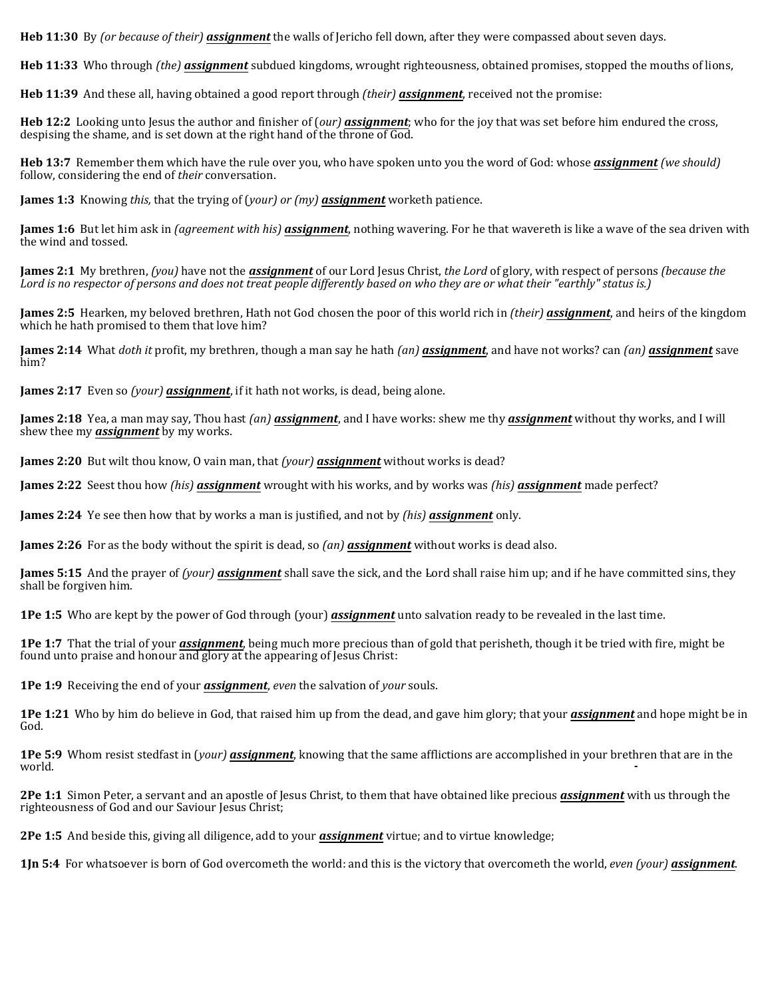**Heb 11:30** By *(or because of their) assignment* the walls of Jericho fell down, after they were compassed about seven days.

**Heb 11:33** Who through *(the) assignment* subdued kingdoms, wrought righteousness, obtained promises, stopped the mouths of lions,

**Heb 11:39** And these all, having obtained a good report through *(their) assignment*, received not the promise:

**Heb 12:2** Looking unto Jesus the author and finisher of (*our) assignment*; who for the joy that was set before him endured the cross, despising the shame, and is set down at the right hand of the throne of God.

**Heb 13:7** Remember them which have the rule over you, who have spoken unto you the word of God: whose *assignment (we should)* follow, considering the end of *their* conversation.

**James 1:3** Knowing *this,* that the trying of (*your) or (my) assignment* worketh patience.

**James 1:6** But let him ask in *(agreement with his) assignment*, nothing wavering. For he that wavereth is like a wave of the sea driven with the wind and tossed.

**James 2:1** My brethren, *(you)* have not the *assignment* of our Lord Jesus Christ, *the Lord* of glory, with respect of persons *(because the Lord is no respector of persons and does not treat people differently based on who they are or what their "earthly" status is.)*

**James 2:5** Hearken, my beloved brethren, Hath not God chosen the poor of this world rich in *(their) assignment*, and heirs of the kingdom which he hath promised to them that love him?

**James 2:14** What *doth it* profit, my brethren, though a man say he hath *(an) assignment*, and have not works? can *(an) assignment* save him?

**James 2:17** Even so *(your) assignment*, if it hath not works, is dead, being alone.

**James 2:18** Yea, a man may say, Thou hast *(an) assignment*, and I have works: shew me thy *assignment* without thy works, and I will shew thee my *assignment* by my works.

**James 2:20** But wilt thou know, O vain man, that *(your) assignment* without works is dead?

**James 2:22** Seest thou how *(his) assignment* wrought with his works, and by works was *(his) assignment* made perfect?

**James 2:24** Ye see then how that by works a man is justified, and not by *(his) assignment* only.

**James 2:26** For as the body without the spirit is dead, so *(an) assignment* without works is dead also.

**James 5:15** And the prayer of *(your) assignment* shall save the sick, and the Lord shall raise him up; and if he have committed sins, they shall be forgiven him.

**1Pe 1:5** Who are kept by the power of God through (your) *assignment* unto salvation ready to be revealed in the last time.

**1Pe 1:7** That the trial of your *assignment*, being much more precious than of gold that perisheth, though it be tried with fire, might be found unto praise and honour and glory at the appearing of Jesus Christ:

**1Pe 1:9** Receiving the end of your *assignment*, *even* the salvation of *your* souls.

**1Pe 1:21** Who by him do believe in God, that raised him up from the dead, and gave him glory; that your *assignment* and hope might be in God.

**1Pe 5:9** Whom resist stedfast in (*your) assignment*, knowing that the same afflictions are accomplished in your brethren that are in the world.

**2Pe 1:1** Simon Peter, a servant and an apostle of Jesus Christ, to them that have obtained like precious *assignment* with us through the righteousness of God and our Saviour Jesus Christ;

**2Pe 1:5** And beside this, giving all diligence, add to your *assignment* virtue; and to virtue knowledge;

**1Jn 5:4** For whatsoever is born of God overcometh the world: and this is the victory that overcometh the world, *even (your) assignment*.